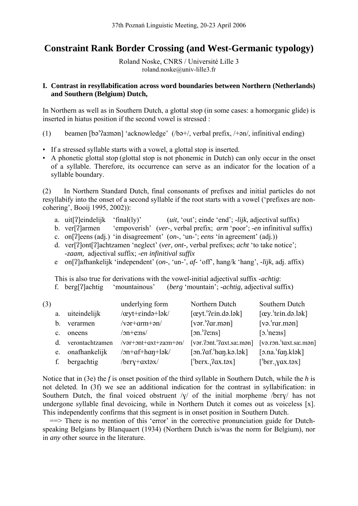# **Constraint Rank Border Crossing (and West-Germanic typology)**

Roland Noske, CNRS / Université Lille 3 roland.noske@univ-lille3.fr

## **I. Contrast in resyllabification across word boundaries between Northern (Netherlands) and Southern (Belgium) Dutch,**

In Northern as well as in Southern Dutch, a glottal stop (in some cases: a homorganic glide) is inserted in hiatus position if the second vowel is stressed :

- (1) beamen  $\lceil b \circ a \rceil$  'acknowledge' (/bə+/, verbal prefix, /+ $\circ$ n/, infinitival ending)
- If a stressed syllable starts with a vowel, a glottal stop is inserted.
- A phonetic glottal stop (glottal stop is not phonemic in Dutch) can only occur in the onset of a syllable. Therefore, its occurrence can serve as an indicator for the location of a syllable boundary.

(2) In Northern Standard Dutch, final consonants of prefixes and initial particles do not resyllabify into the onset of a second syllable if the root starts with a vowel ('prefixes are noncohering', Booij 1995, 2002)):

- a. uit<sup>[2</sup>]eindelijk 'final(ly)' (*uit*, 'out'; einde 'end'; -*lijk*, adjectival suffix)
- b. ver[]armen 'empoverish' (*ver-,* verbal prefix; *arm* 'poor'; *-en* infinitival suffix)
- c. on[?]eens (adj.) 'in disagreement' (*on*-, 'un-'; *eens* 'in agreement' (adj.))
- d. ver[?]ont[?]achtzamen 'neglect' (ver, ont-, verbal prefixes; *acht* 'to take notice'; *-zaam,* adjectival suffix; *-en infinitival suffix*
- e on[]afhankelijk 'independent' (*on*-, 'un-', *af-* 'off', hang/k 'hang', *-lijk*, adj. affix)

This is also true for derivations with the vowel-initial adjectival suffix -*achtig*: f. berg[]achtig 'mountainous' (*berg* 'mountain'; *-achtig,* adjectival suffix)

| (3) |                |                  | underlying form                                | Northern Dutch                         | Southern Dutch            |
|-----|----------------|------------------|------------------------------------------------|----------------------------------------|---------------------------|
|     | a.             | uiteindelijk     | $/$ ceyt+ $\epsilon$ ində+ $\frac{1}{2}$ k $/$ | $[\alpha yt]'$ ? $\epsilon$ in.də.lək] | $[\alpha y$ 'tein.do.lok] |
|     | b.             | verarmen         | $/var+arm+an/$                                 | [var.'qar.mən]                         | $[vo.'r$ ar.mən $]$       |
|     | $\mathbf{c}$ . | oneens           | $\sqrt{on+e}$ :ns/                             | $\lceil$ on. '?e:ns]                   | $\lceil$ 2. ne:ns]        |
|     | d.             | verontachtzamen  | /vər+ont+axt+za:m+ən/                          | $[var.?3ont.12axt.sa:man]$             | $[və.rən.1taxt.sa:man]$   |
|     |                | e. onafhankelijk | /on+af+haŋ+lək/                                | $[3n.2af'$ han.kə.lək $]$              |                           |
|     |                | bergachtig       | $/bery + axt$                                  | $[{}^{\prime}$ berx. $?ax.t$ əx $]$    | $[^\prime$ ber. yax.təx]  |

Notice that in (3e) the *f* is onset position of the third syllable in Southern Dutch, while the *h* is not deleted. In (3f) we see an additional indication for the contrast in syllabification: in Southern Dutch, the final voiced obstruent  $\sqrt{\gamma}$  of the initial morpheme /bery/ has not undergone syllable final devoicing, while in Northern Dutch it comes out as voiceless [x]. This independently confirms that this segment is in onset position in Southern Dutch.

 ==> There is no mention of this 'error' in the corrective pronunciation guide for Dutchspeaking Belgians by Blanquaert (1934) (Northern Dutch is/was the norm for Belgium), nor in *any* other source in the literature.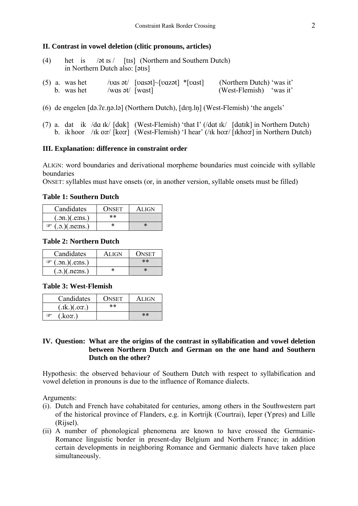#### **II. Contrast in vowel deletion (clitic pronouns, articles)**

- (4) het is  $/\sigma t$  is / [tis] (Northern and Southern Dutch) in Northern Dutch also: [ $\text{atis}$ ]
- (5) a. was het  $\begin{array}{c} \text{(loss et)} \\ \text{(loss et)} \end{array}$  (Northern Dutch) 'was it' b. was het  $\begin{array}{c} \text{(was at)} \\ \text{(West-Flemish)} \end{array}$  'was it' b. was het  $/was \, dt / \sqrt{wast}$   $\bar{w}$  (West-Flemish) 'was it'
- (6) de engelen  $[da.2e.na.la]$  (Northern Dutch),  $[den.ln]$  (West-Flemish) 'the angels'
- (7) a. dat ik /da  $\text{rk}/$  [dak] (West-Flemish) 'that I' (/dat  $\text{rk}/$  [dat $\text{rk}$ ] in Northern Dutch) b. ik hoor /ik or/ [kor] (West-Flemish) 'I hear' (/ik horr/ [ikhor] in Northern Dutch)

#### **III. Explanation: difference in constraint order**

ALIGN: word boundaries and derivational morpheme boundaries must coincide with syllable boundaries

ONSET: syllables must have onsets (or, in another version, syllable onsets must be filled)

#### **Table 1: Southern Dutch**

| Candidates                         | <b>ONSET</b> | <b>ALIGN</b> |
|------------------------------------|--------------|--------------|
| $(\ldots, \ldots)(\ldots, \ldots)$ | $**$         |              |
| $\mathcal{F}$ (.o.)(.nems.)        |              | $\ast$       |

#### **Table 2: Northern Dutch**

| Candidates                   | <b>ALIGN</b> | <b>ONSET</b> |
|------------------------------|--------------|--------------|
| $\mathcal{F}$ (.on.)(.e.ms.) |              | $**$         |
| (.5.)(.neins.)               | ×            | $\ast$       |

### **Table 3: West-Flemish**

| Candidates    | <b>ONSET</b> | <b>ALIGN</b> |
|---------------|--------------|--------------|
| (x[k.)(.0:T]) | $***$        |              |
| (kor.)<br>F   |              | $***$        |

### **IV. Question: What are the origins of the contrast in syllabification and vowel deletion between Northern Dutch and German on the one hand and Southern Dutch on the other?**

Hypothesis: the observed behaviour of Southern Dutch with respect to syllabification and vowel deletion in pronouns is due to the influence of Romance dialects.

Arguments:

- (i). Dutch and French have cohabitated for centuries, among others in the Southwestern part of the historical province of Flanders, e.g. in Kortrijk (Courtrai), Ieper (Ypres) and Lille (Rijsel).
- (ii) A number of phonological phenomena are known to have crossed the Germanic-Romance linguistic border in present-day Belgium and Northern France; in addition certain developments in neighboring Romance and Germanic dialects have taken place simultaneously.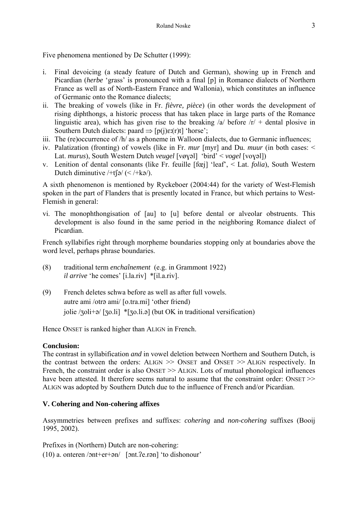Five phenomena mentioned by De Schutter (1999):

- i. Final devoicing (a steady feature of Dutch and German), showing up in French and Picardian (*herbe* 'grass' is pronounced with a final [p] in Romance dialects of Northern France as well as of North-Eastern France and Wallonia), which constitutes an influence of Germanic onto the Romance dialects;
- ii. The breaking of vowels (like in Fr. *fièvre, pièce*) (in other words the development of rising diphthongs, a historic process that has taken place in large parts of the Romance linguistic area), which has given rise to the breaking  $\alpha$  before  $\alpha$  + dental plosive in Southern Dutch dialects: paard  $\Rightarrow$  [p(j) $\varepsilon$ :(r)t] 'horse';
- iii. The (re)occurrence of /h/ as a phoneme in Walloon dialects, due to Germanic influences;
- iv. Palatization (fronting) of vowels (like in Fr. *mur* [myr] and Du. *muur* (in both cases: < Lat. *murus*), South Western Dutch *veugel* [vøyəl] 'bird' < *vogel* [voyəl])
- v. Lenition of dental consonants (like Fr. feuille [fœj] 'leaf', < Lat. *folia*), South Western Dutch diminutive  $/+t$  ( $\leq$  /+ka/).

A sixth phenomenon is mentioned by Ryckeboer (2004:44) for the variety of West-Flemish spoken in the part of Flanders that is presently located in France, but which pertains to West-Flemish in general:

vi. The monophthongisation of [au] to [u] before dental or alveolar obstruents. This development is also found in the same period in the neighboring Romance dialect of Picardian.

French syllabifies right through morpheme boundaries stopping only at boundaries above the word level, perhaps phrase boundaries.

- (8) traditional term *enchaînement* (e.g. in Grammont 1922) *il arrive* 'he comes' [i.la.riv] \*[il.a.riv].
- (9) French deletes schwa before as well as after full vowels. autre ami /otra ami/ [o.tra.mi] 'other friend) jolie  $/2$ oli+ $\phi$  [ $\overline{2}$ o.li] \*[ $\overline{2}$ o.li. $\phi$ ] (but OK in traditional versification)

Hence ONSET is ranked higher than ALIGN in French.

# **Conclusion:**

The contrast in syllabification *and* in vowel deletion between Northern and Southern Dutch, is the contrast between the orders: ALIGN >> ONSET and ONSET >> ALIGN respectively. In French, the constraint order is also ONSET  $\gg$  ALIGN. Lots of mutual phonological influences have been attested. It therefore seems natural to assume that the constraint order: ONSET >> ALIGN was adopted by Southern Dutch due to the influence of French and/or Picardian.

# **V. Cohering and Non-cohering affixes**

Assymmetries between prefixes and suffixes: *cohering* and *non-cohering* suffixes (Booij 1995, 2002).

Prefixes in (Northern) Dutch are non-cohering:  $(10)$  a. onteren /ont+er+an/ [ont. ?e.ran] 'to dishonour'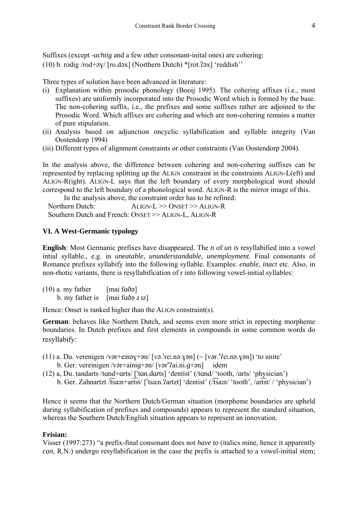Suffixes (except *-achtig* and a few other consonant-inital ones) are cohering: (10) b. rodig  $\vert \text{rod} + \text{ev} \rangle$  [ro.d $\text{ex}$ ] (Northern Dutch) \*[rot.?ax] 'reddish''

Three types of solution have been advanced in literature:

- (i) Explanation within prosodic phonology (Booij 1995). The cohering affixes (i.e., most suffixes) are uniformly incorporated into the Prosodic Word which is formed by the base. The non-cohering suffix, i.e., the prefixes and some suffixes rather are adjoined to the Prosodic Word. Which affixes are cohering and which are non-cohering remains a matter of pure stipulation.
- (ii) Analysis based on adjunction oncyclic syllabification and syllable integrity (Van Oostendorp 1994)
- (iii) Different types of alignment constraints or other constraints (Van Oostendorp 2004).

In the analysis above, the difference between cohering and non-cohering suffixes can be represented by replacing splitting up the ALIGN constraint in the constraints ALIGN-L(eft) and ALIGN-R(ight). ALIGN-L says that the left boundary of every morphological word should correspond to the left boundary of a phonological word. ALIGN-R is the mirror image of this.

 In the analysis above, the constraint order has to be refined: Northern Dutch: ALIGN-L >> ONSET >> ALIGN-R Southern Dutch and French: ONSET >> ALIGN-L, ALIGN-R

# **VI. A West-Germanic typology**

**English**: Most Germanic prefixes have disappeared. The *n* of *un is* resyllabified into a vowel intial syllable., e.g. in *uneatable*, *ununderstandable, unemployment*. Final consonants of Romance prefixes syllabify into the following syllable. Examples: *enable*, *inact* etc. Also, in non-rhotic variants, there is resyllabification of r into following vowel-initial syllables:

| $(10)$ a. my father | [mai faða]               |
|---------------------|--------------------------|
| b. my father is     | $[\text{mai faðə z iz}]$ |

Hence: Onset is ranked higher than the ALIGN constraint(s).

**German**: behaves like Northern Dutch, and seems even more strict in repecting morpheme boundaries. In Dutch prefixes and first elements in compounds in some common words do resyllabify:

- (11) a. Du. verenigen /vər+e:nə $y+$ ən/ [və.<sup>1</sup>re:.nə.yən] (~ [vər.<sup>1</sup>?e:.nə.yən]) 'to unite' b. Ger. vereinigen /vər+ainiq+ən/ [vər $'$ ?ai.ni.q+ən] idem
- (12) a, Du. tandarts /tand+arts/  $\lceil \frac{\tan \cdot \cdot \tan t}{\tan \cdot \cdot \tan t} \rceil$  'dentist' (/tand/ 'tooth, /arts/ 'physician')
	- b. Ger. Zahnartzt /tsan+artst/ ['tsan.?artzt] 'dentist' (/tsan/ 'tooth', /artst/ / 'physician')

Hence it seems that the Northern Dutch/German situation (morpheme boundaries are upheld during syllabification of prefixes and compounds) appears to represent the standard situation, whereas the Southern Dutch/English situation appears to represent an innovation.

## **Frisian:**

Visser (1997:273) "a prefix-final consonant does not *have to* (italics mine, hence it apparently *can*, R.N.) undergo resyllabification in the case the prefix is attached to a vowel-initial stem;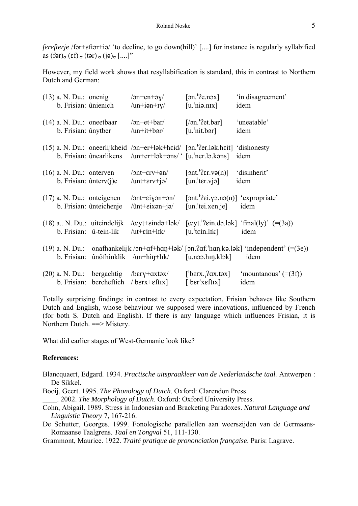*ferefterje* /far+ $\epsilon$ ftar+ia/ 'to decline, to go down(hill)' [....] for instance is regularly syllabified as  $(fər)_{σ} (ef)_{σ} (tər)_{σ} (jə)_{σ} [...]''$ 

However, my field work shows that resyllabification is standard, this in contrast to Northern Dutch and German:

| $(13)$ a. N. Du.: onenig<br>b. Frisian: ûnienich                 |                                                          | $\sqrt{2n+en+ay}$<br>$\mu$ n+iən+ry/                                                                                                                  | $\lceil$ on. '?e.nəx]<br>$[u, 'n]$ ia.n $[x]$                                            | 'in disagreement'<br>idem                                                                                                                                            |
|------------------------------------------------------------------|----------------------------------------------------------|-------------------------------------------------------------------------------------------------------------------------------------------------------|------------------------------------------------------------------------------------------|----------------------------------------------------------------------------------------------------------------------------------------------------------------------|
| $(14)$ a. N. Du.: oneetbaar<br>b. Frisian: ûnytber               |                                                          | $\sqrt{2n}$ + et + bar $\sqrt{2n}$<br>$\mu$ n+it+bər/                                                                                                 | $[/on.^{\prime}$ ?et.bar]<br>[u, 'nit.bər]                                               | 'uneatable'<br>idem                                                                                                                                                  |
|                                                                  |                                                          | $(15)$ a. N. Du.: oneerlijkheid /on+er+lək+heid/ [on. '?er.lək.heit] 'dishonesty<br>b. Frisian: ûnearlikens /un+er+lək+əns/ ' $[u$ 'ner.lə.kəns] idem |                                                                                          |                                                                                                                                                                      |
| $(16)$ a. N. Du.: onterven<br>b. Frisian: $\hat{u}$ nterv $(i)e$ |                                                          | $\sqrt{2nt}$ + $\frac{1}{2}$<br>$\mu$ nt+ $\epsilon$ rv+j $\alpha$                                                                                    | [ont. <sup>1</sup> ?er.v $\varphi(n)$ ]<br>$\lceil$ un. ter. vj $\varphi$                | 'disinherit'<br>idem                                                                                                                                                 |
|                                                                  | $(17)$ a. N. Du.: onteigenen<br>b. Frisian: ûnteichenje  | $\sqrt{2nt}$ + $\epsilon$ iyən+ $\frac{1}{2}$<br>$\sin t + \sin t + \sin t$                                                                           | [ont. <sup>1</sup> ?ei.yə.nə(n)] 'expropriate'<br>$\lceil$ un. tei.xen. je $\rceil$ idem |                                                                                                                                                                      |
|                                                                  | $(18)$ a. N. Du.: uiteindelijk<br>b. Frisian: û-tein-lik | $\alpha$ yt+ $\epsilon$ ində+lək $\ell$<br>$/$ ut+ $\epsilon$ in+ $\frac{1}{\epsilon}$                                                                | [u. <sup>'</sup> tein.lɪk]                                                               | $[\alpha y t.^{1}$ ?ein.də.lək $]$ 'final(ly)' $(=(3a))$<br>idem                                                                                                     |
| b. Frisian:                                                      |                                                          | $\hat{u}$ nôfhinklik /un+hin+lɪk/                                                                                                                     | $[u$ . noo. $h$ In $k$ lə $k$ ]                                                          | (19) a. N. Du.: onafhankelijk / $\text{on+af+}\text{hap+}\text{lab/}$ [ $\text{on}.$ ? $\text{af.}$ 'han $\text{lab.}$   $\text{lab.}$ 'independent' (=(3e))<br>idem |
|                                                                  | b. Frisian: bercheftich / berx+ $\epsilon$ ftix]         | $(20)$ a. N. Du.: bergachtig /bery+axtax/                                                                                                             | [ $ber'xeftIX$ ]                                                                         | [ $'berx$ <sub>1</sub> , $2ax.tax$ ] $'moutanous' (=3f)$ ]<br>idem                                                                                                   |

Totally surprising findings: in contrast to every expectation, Frisian behaves like Southern Dutch and English, whose behaviour we supposed were innovations, influenced by French (for both S. Dutch and English). If there is any language which influences Frisian, it is Northern Dutch. ==> Mistery.

What did earlier stages of West-Germanic look like?

#### **References:**

- Blancquaert, Edgard. 1934. *Practische uitspraakleer van de Nederlandsche taal.* Antwerpen : De Sikkel.
- Booij, Geert. 1995. *The Phonology of Dutch*. Oxford: Clarendon Press.

\_\_\_\_. 2002. *The Morphology of Dutch*. Oxford: Oxford University Press.

- Cohn, Abigail. 1989. Stress in Indonesian and Bracketing Paradoxes. *Natural Language and Linguistic Theory* 7, 167-216.
- De Schutter, Georges. 1999. Fonologische parallellen aan weerszijden van de Germaans-Romaanse Taalgrens. *Taal en Tongval* 51, 111-130.

Grammont, Maurice. 1922. *Traité pratique de prononciation française*. Paris: Lagrave.